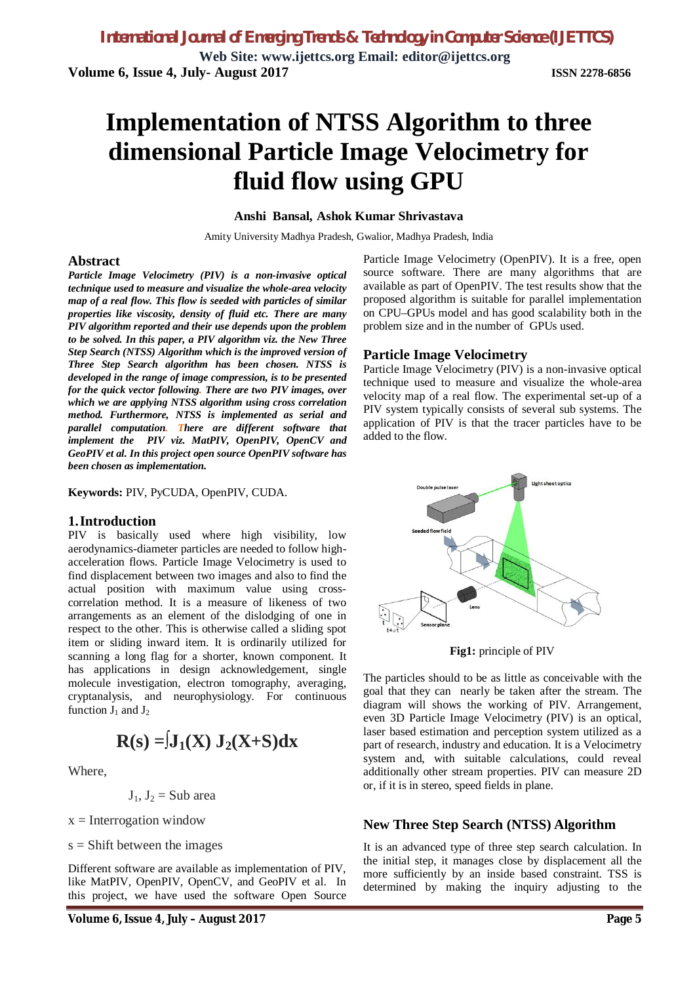**Web Site: www.ijettcs.org Email: editor@ijettcs.org Volume 6, Issue 4, July- August 2017 ISSN 2278-6856**

# **Implementation of NTSS Algorithm to three dimensional Particle Image Velocimetry for fluid flow using GPU**

#### **Anshi Bansal, Ashok Kumar Shrivastava**

Amity University Madhya Pradesh, Gwalior, Madhya Pradesh, India

#### **Abstract**

*Particle Image Velocimetry (PIV) is a non-invasive optical technique used to measure and visualize the whole-area velocity map of a real flow. This flow is seeded with particles of similar properties like viscosity, density of fluid etc. There are many PIV algorithm reported and their use depends upon the problem to be solved. In this paper, a PIV algorithm viz. the New Three Step Search (NTSS) Algorithm which is the improved version of Three Step Search algorithm has been chosen. NTSS is developed in the range of image compression, is to be presented for the quick vector following. There are two PIV images, over which we are applying NTSS algorithm using cross correlation method. Furthermore, NTSS is implemented as serial and parallel computation. There are different software that implement the PIV viz. MatPIV, OpenPIV, OpenCV and GeoPIV et al. In this project open source OpenPIV software has been chosen as implementation.*

**Keywords:** PIV, PyCUDA, OpenPIV, CUDA.

#### **1.Introduction**

PIV is basically used where high visibility, low aerodynamics-diameter particles are needed to follow highacceleration flows. Particle Image Velocimetry is used to find displacement between two images and also to find the actual position with maximum value using crosscorrelation method. It is a measure of likeness of two arrangements as an element of the dislodging of one in respect to the other. This is otherwise called a sliding spot item or sliding inward item. It is ordinarily utilized for scanning a long flag for a shorter, known component. It has applications in design acknowledgement, single molecule investigation, electron tomography, averaging, cryptanalysis, and neurophysiology. For continuous function  $J_1$  and  $J_2$ 

$$
R(s) = J_1(X) J_2(X+S)dx
$$

Where,

$$
J_1
$$
,  $J_2$  = Sub area

 $x =$ Interrogation window

 $s =$ Shift between the images

Different software are available as implementation of PIV, like MatPIV, OpenPIV, OpenCV, and GeoPIV et al. In this project, we have used the software Open Source

Particle Image Velocimetry (OpenPIV). It is a free, open source software. There are many algorithms that are available as part of OpenPIV. The test results show that the proposed algorithm is suitable for parallel implementation on CPU–GPUs model and has good scalability both in the problem size and in the number of GPUs used.

#### **Particle Image Velocimetry**

Particle Image Velocimetry (PIV) is a non-invasive optical technique used to measure and visualize the whole-area velocity map of a real flow. The experimental set-up of a PIV system typically consists of several sub systems. The application of PIV is that the tracer particles have to be added to the flow.



**Fig1:** principle of PIV

The particles should to be as little as conceivable with the goal that they can nearly be taken after the stream. The diagram will shows the working of PIV. Arrangement, even 3D Particle Image Velocimetry (PIV) is an optical, laser based estimation and perception system utilized as a part of research, industry and education. It is a Velocimetry system and, with suitable calculations, could reveal additionally other stream properties. PIV can measure 2D or, if it is in stereo, speed fields in plane.

#### **New Three Step Search (NTSS) Algorithm**

It is an advanced type of three step search calculation. In the initial step, it manages close by displacement all the more sufficiently by an inside based constraint. TSS is determined by making the inquiry adjusting to the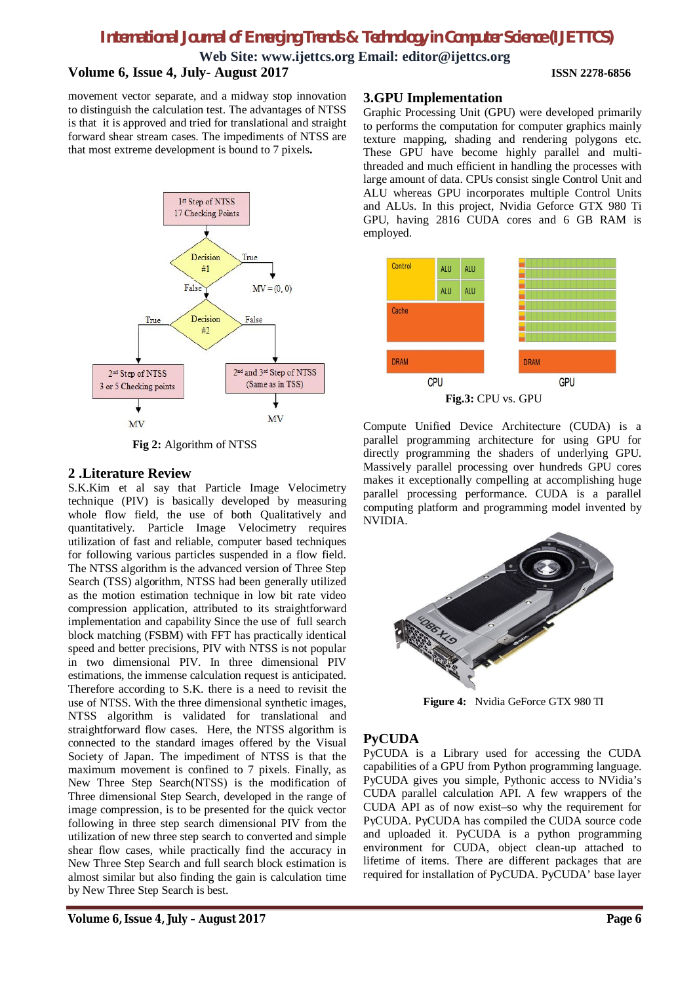# *International Journal of Emerging Trends & Technology in Computer Science (IJETTCS)*

**Web Site: www.ijettcs.org Email: editor@ijettcs.org**

## **Volume 6, Issue 4, July- August 2017 ISSN 2278-6856**

movement vector separate, and a midway stop innovation to distinguish the calculation test. The advantages of NTSS is that it is approved and tried for translational and straight forward shear stream cases. The impediments of NTSS are that most extreme development is bound to 7 pixels**.**



**Fig 2:** Algorithm of NTSS

## **2 .Literature Review**

S.K.Kim et al say that Particle Image Velocimetry technique (PIV) is basically developed by measuring whole flow field, the use of both Qualitatively and quantitatively. Particle Image Velocimetry requires utilization of fast and reliable, computer based techniques for following various particles suspended in a flow field. The NTSS algorithm is the advanced version of Three Step Search (TSS) algorithm, NTSS had been generally utilized as the motion estimation technique in low bit rate video compression application, attributed to its straightforward implementation and capability Since the use of full search block matching (FSBM) with FFT has practically identical speed and better precisions, PIV with NTSS is not popular in two dimensional PIV. In three dimensional PIV estimations, the immense calculation request is anticipated. Therefore according to S.K. there is a need to revisit the use of NTSS. With the three dimensional synthetic images, NTSS algorithm is validated for translational and straightforward flow cases. Here, the NTSS algorithm is connected to the standard images offered by the Visual Society of Japan. The impediment of NTSS is that the maximum movement is confined to 7 pixels. Finally, as New Three Step Search(NTSS) is the modification of Three dimensional Step Search, developed in the range of image compression, is to be presented for the quick vector following in three step search dimensional PIV from the utilization of new three step search to converted and simple shear flow cases, while practically find the accuracy in New Three Step Search and full search block estimation is almost similar but also finding the gain is calculation time by New Three Step Search is best.

Graphic Processing Unit (GPU) were developed primarily to performs the computation for computer graphics mainly texture mapping, shading and rendering polygons etc. These GPU have become highly parallel and multithreaded and much efficient in handling the processes with large amount of data. CPUs consist single Control Unit and ALU whereas GPU incorporates multiple Control Units and ALUs. In this project, Nvidia Geforce GTX 980 Ti GPU, having 2816 CUDA cores and 6 GB RAM is employed.



Compute Unified Device Architecture (CUDA) is a parallel programming architecture for using GPU for directly programming the shaders of underlying GPU. Massively parallel processing over hundreds GPU cores makes it exceptionally compelling at accomplishing huge parallel processing performance. CUDA is a parallel computing platform and programming model invented by NVIDIA.



 **Figure 4:** Nvidia GeForce GTX 980 TI

## **PyCUDA**

PyCUDA is a Library used for accessing the CUDA capabilities of a GPU from Python programming language. PyCUDA gives you simple, Pythonic access to NVidia's CUDA parallel calculation API. A few wrappers of the CUDA API as of now exist–so why the requirement for PyCUDA. PyCUDA has compiled the CUDA source code and uploaded it. PyCUDA is a python programming environment for CUDA, object clean-up attached to lifetime of items. There are different packages that are required for installation of PyCUDA. PyCUDA' base layer